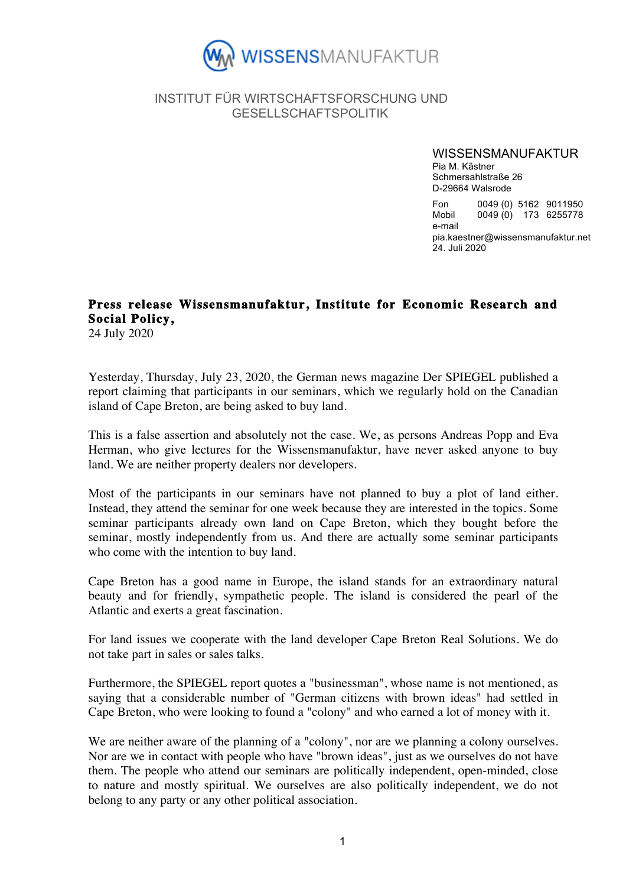

## INSTITUT FÜR WIRTSCHAFTSFORSCHUNG UND GESELLSCHAFTSPOLITIK

WISSENSMANUFAKTUR

Pia M. Kästner Schmersahlstraße 26 D-29664 Walsrode

Fon 0049 (0) 5162 9011950 Mobil 0049 (0) 173 6255778 e-mail pia.kaestner@wissensmanufaktur.net 24. Juli 2020

## **Press release Wissensmanufaktur, Institute for Economic Research and Social Policy,**

24 July 2020

Yesterday, Thursday, July 23, 2020, the German news magazine Der SPIEGEL published a report claiming that participants in our seminars, which we regularly hold on the Canadian island of Cape Breton, are being asked to buy land.

This is a false assertion and absolutely not the case. We, as persons Andreas Popp and Eva Herman, who give lectures for the Wissensmanufaktur, have never asked anyone to buy land. We are neither property dealers nor developers.

Most of the participants in our seminars have not planned to buy a plot of land either. Instead, they attend the seminar for one week because they are interested in the topics. Some seminar participants already own land on Cape Breton, which they bought before the seminar, mostly independently from us. And there are actually some seminar participants who come with the intention to buy land.

Cape Breton has a good name in Europe, the island stands for an extraordinary natural beauty and for friendly, sympathetic people. The island is considered the pearl of the Atlantic and exerts a great fascination.

For land issues we cooperate with the land developer Cape Breton Real Solutions. We do not take part in sales or sales talks.

Furthermore, the SPIEGEL report quotes a "businessman", whose name is not mentioned, as saying that a considerable number of "German citizens with brown ideas" had settled in Cape Breton, who were looking to found a "colony" and who earned a lot of money with it.

We are neither aware of the planning of a "colony", nor are we planning a colony ourselves. Nor are we in contact with people who have "brown ideas", just as we ourselves do not have them. The people who attend our seminars are politically independent, open-minded, close to nature and mostly spiritual. We ourselves are also politically independent, we do not belong to any party or any other political association.